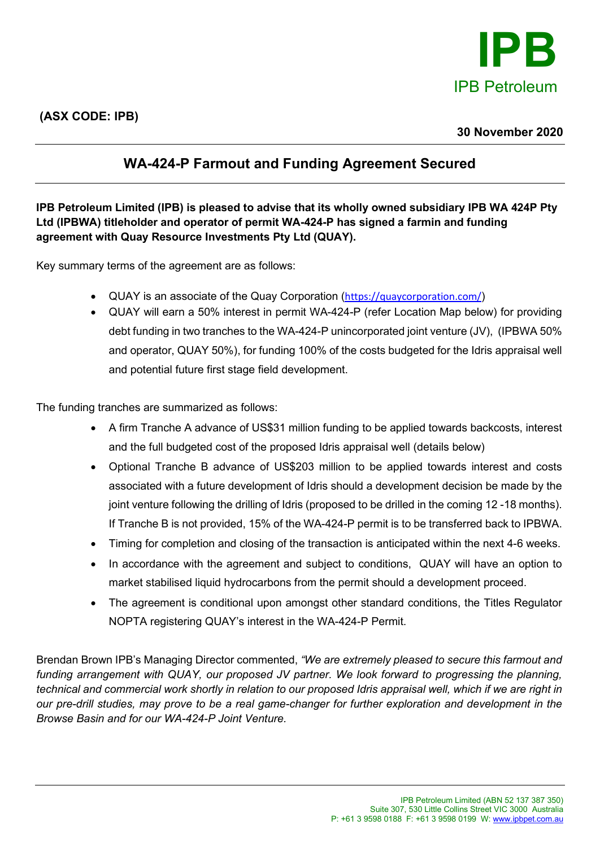

## **30 November 2020**

# **WA-424-P Farmout and Funding Agreement Secured**

**IPB Petroleum Limited (IPB) is pleased to advise that its wholly owned subsidiary IPB WA 424P Pty Ltd (IPBWA) titleholder and operator of permit WA-424-P has signed a farmin and funding agreement with Quay Resource Investments Pty Ltd (QUAY).** 

Key summary terms of the agreement are as follows:

- QUAY is an associate of the Quay Corporation (<https://quaycorporation.com/>)
- QUAY will earn a 50% interest in permit WA-424-P (refer Location Map below) for providing debt funding in two tranches to the WA-424-P unincorporated joint venture (JV), (IPBWA 50% and operator, QUAY 50%), for funding 100% of the costs budgeted for the Idris appraisal well and potential future first stage field development.

The funding tranches are summarized as follows:

- A firm Tranche A advance of US\$31 million funding to be applied towards backcosts, interest and the full budgeted cost of the proposed Idris appraisal well (details below)
- Optional Tranche B advance of US\$203 million to be applied towards interest and costs associated with a future development of Idris should a development decision be made by the joint venture following the drilling of Idris (proposed to be drilled in the coming 12-18 months). If Tranche B is not provided, 15% of the WA-424-P permit is to be transferred back to IPBWA.
- Timing for completion and closing of the transaction is anticipated within the next 4-6 weeks.
- In accordance with the agreement and subject to conditions, QUAY will have an option to market stabilised liquid hydrocarbons from the permit should a development proceed.
- The agreement is conditional upon amongst other standard conditions, the Titles Regulator NOPTA registering QUAY's interest in the WA-424-P Permit.

Brendan Brown IPB's Managing Director commented, *"We are extremely pleased to secure this farmout and funding arrangement with QUAY, our proposed JV partner. We look forward to progressing the planning, technical and commercial work shortly in relation to our proposed Idris appraisal well, which if we are right in our pre-drill studies, may prove to be a real game-changer for further exploration and development in the Browse Basin and for our WA-424-P Joint Venture.*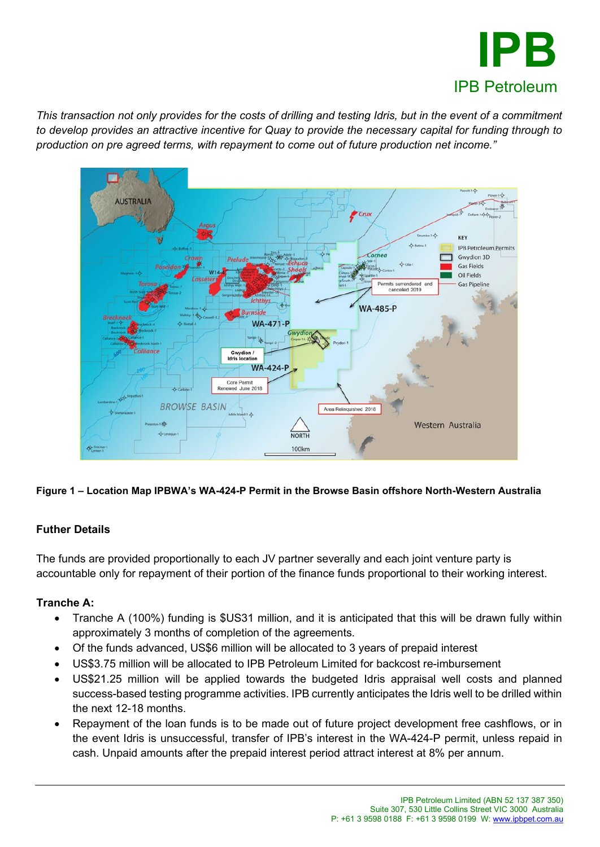

*This transaction not only provides for the costs of drilling and testing Idris, but in the event of a commitment to develop provides an attractive incentive for Quay to provide the necessary capital for funding through to production on pre agreed terms, with repayment to come out of future production net income."*



**Figure 1 – Location Map IPBWA's WA-424-P Permit in the Browse Basin offshore North-Western Australia** 

## **Futher Details**

The funds are provided proportionally to each JV partner severally and each joint venture party is accountable only for repayment of their portion of the finance funds proportional to their working interest.

## **Tranche A:**

- Tranche A (100%) funding is \$US31 million, and it is anticipated that this will be drawn fully within approximately 3 months of completion of the agreements.
- Of the funds advanced, US\$6 million will be allocated to 3 years of prepaid interest
- US\$3.75 million will be allocated to IPB Petroleum Limited for backcost re-imbursement
- US\$21.25 million will be applied towards the budgeted Idris appraisal well costs and planned success-based testing programme activities. IPB currently anticipates the Idris well to be drilled within the next 12-18 months.
- Repayment of the loan funds is to be made out of future project development free cashflows, or in the event Idris is unsuccessful, transfer of IPB's interest in the WA-424-P permit, unless repaid in cash. Unpaid amounts after the prepaid interest period attract interest at 8% per annum.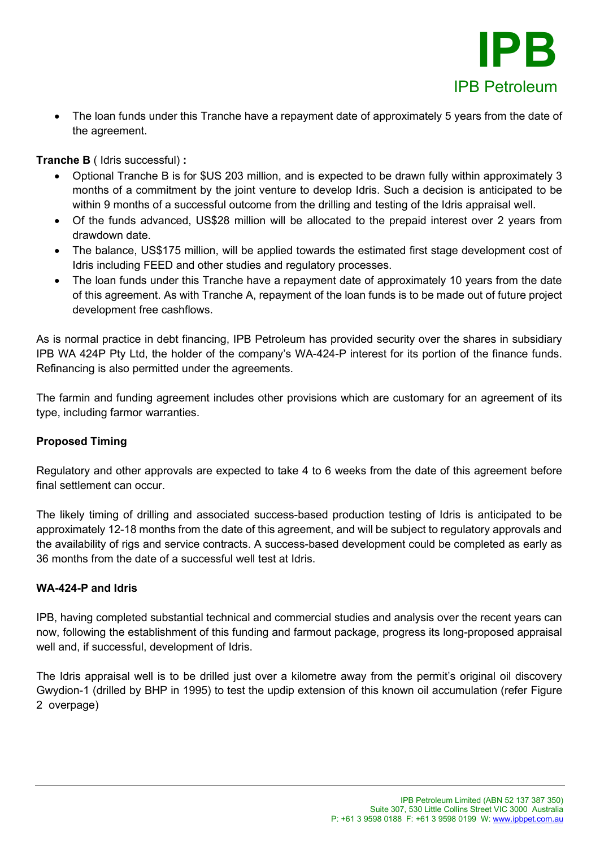

• The loan funds under this Tranche have a repayment date of approximately 5 years from the date of the agreement.

**Tranche B** ( Idris successful) **:**

- Optional Tranche B is for \$US 203 million, and is expected to be drawn fully within approximately 3 months of a commitment by the joint venture to develop Idris. Such a decision is anticipated to be within 9 months of a successful outcome from the drilling and testing of the Idris appraisal well.
- Of the funds advanced, US\$28 million will be allocated to the prepaid interest over 2 years from drawdown date.
- The balance, US\$175 million, will be applied towards the estimated first stage development cost of Idris including FEED and other studies and regulatory processes.
- The loan funds under this Tranche have a repayment date of approximately 10 years from the date of this agreement. As with Tranche A, repayment of the loan funds is to be made out of future project development free cashflows.

As is normal practice in debt financing, IPB Petroleum has provided security over the shares in subsidiary IPB WA 424P Pty Ltd, the holder of the company's WA-424-P interest for its portion of the finance funds. Refinancing is also permitted under the agreements.

The farmin and funding agreement includes other provisions which are customary for an agreement of its type, including farmor warranties.

## **Proposed Timing**

Regulatory and other approvals are expected to take 4 to 6 weeks from the date of this agreement before final settlement can occur.

The likely timing of drilling and associated success-based production testing of Idris is anticipated to be approximately 12-18 months from the date of this agreement, and will be subject to regulatory approvals and the availability of rigs and service contracts. A success-based development could be completed as early as 36 months from the date of a successful well test at Idris.

### **WA-424-P and Idris**

IPB, having completed substantial technical and commercial studies and analysis over the recent years can now, following the establishment of this funding and farmout package, progress its long-proposed appraisal well and, if successful, development of Idris.

The Idris appraisal well is to be drilled just over a kilometre away from the permit's original oil discovery Gwydion-1 (drilled by BHP in 1995) to test the updip extension of this known oil accumulation (refer Figure 2 overpage)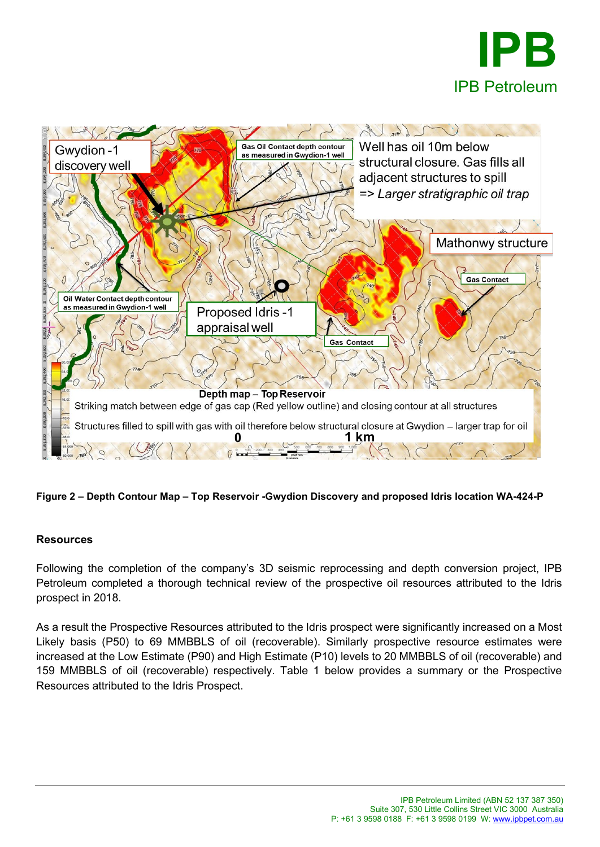



### **Figure 2 – Depth Contour Map – Top Reservoir -Gwydion Discovery and proposed Idris location WA-424-P**

### **Resources**

Following the completion of the company's 3D seismic reprocessing and depth conversion project, IPB Petroleum completed a thorough technical review of the prospective oil resources attributed to the Idris prospect in 2018.

As a result the Prospective Resources attributed to the Idris prospect were significantly increased on a Most Likely basis (P50) to 69 MMBBLS of oil (recoverable). Similarly prospective resource estimates were increased at the Low Estimate (P90) and High Estimate (P10) levels to 20 MMBBLS of oil (recoverable) and 159 MMBBLS of oil (recoverable) respectively. Table 1 below provides a summary or the Prospective Resources attributed to the Idris Prospect.